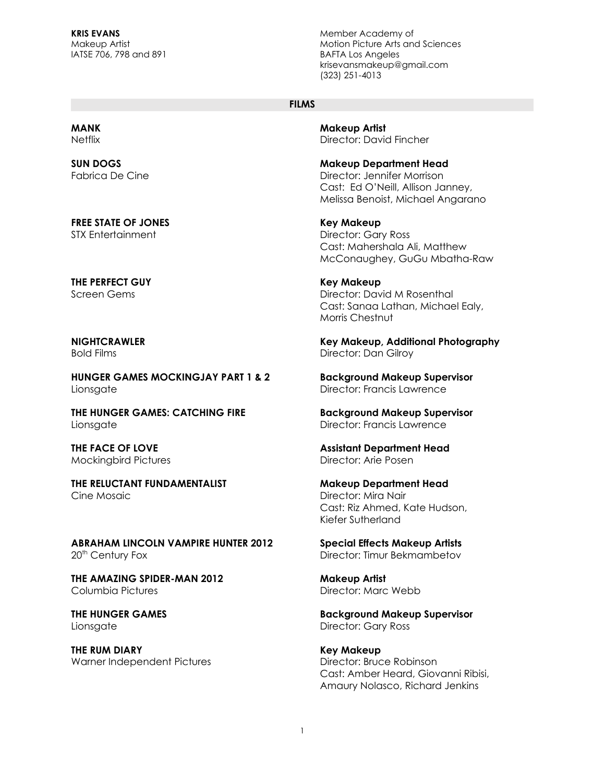**KRIS EVANS** Member Academy of Makeup Artist Motion Picture Arts and Sciences krisevansmakeup@gmail.com (323) 251-4013

#### **FILMS**

**MANK Makeup Artist** Netflix Director: David Fincher

**SUN DOGS Makeup Department Head** Fabrica De Cine **Director: Jennifer Morrison** Cast: Ed O'Neill, Allison Janney, Melissa Benoist, Michael Angarano

> Cast: Mahershala Ali, Matthew McConaughey, GuGu Mbatha-Raw

Screen Gems **Screen Gems** Director: David M Rosenthal Cast: Sanaa Lathan, Michael Ealy, Morris Chestnut

**NIGHTCRAWLER Key Makeup, Additional Photography** Bold Films **Bold Films** Director: Dan Gilroy

**THE FACE OF LOVE Assistant Department Head**

Cast: Riz Ahmed, Kate Hudson, Kiefer Sutherland

Director: Timur Bekmambetov

**THE HUNGER GAMES Background Makeup Supervisor**

Cast: Amber Heard, Giovanni Ribisi, Amaury Nolasco, Richard Jenkins

**FREE STATE OF JONES Key Makeup** STX Entertainment **Director: Gary Ross** 

**THE PERFECT GUY Key Makeup**

**HUNGER GAMES MOCKINGJAY PART 1 & 2 Background Makeup Supervisor** Lionsgate Director: Francis Lawrence

**THE HUNGER GAMES: CATCHING FIRE Background Makeup Supervisor** Lionsgate Director: Francis Lawrence

Mockingbird Pictures **Director:** Arie Posen

**THE RELUCTANT FUNDAMENTALIST Makeup Department Head** Cine Mosaic Director: Mira Nair

**ABRAHAM LINCOLN VAMPIRE HUNTER 2012 Special Effects Makeup Artists** 20<sup>th</sup> Century Fox

**THE AMAZING SPIDER-MAN 2012 Makeup Artist** Columbia Pictures Director: Marc Webb

Lionsgate Director: Gary Ross

**THE RUM DIARY Key Makeup** Warner Independent Pictures **Director: Bruce Robinson**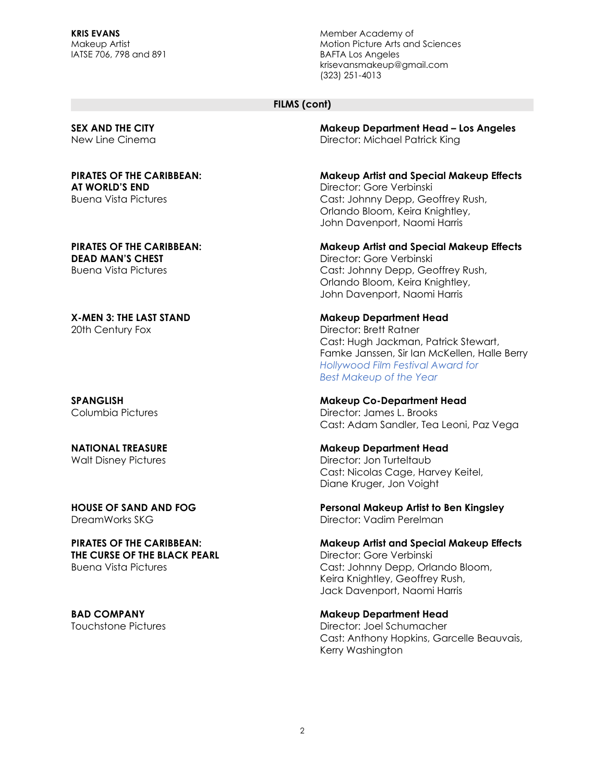**KRIS EVANS** Member Academy of Makeup Artist Motion Picture Arts and Sciences krisevansmakeup@gmail.com (323) 251-4013

#### **FILMS (cont)**

## **AT WORLD'S END** Director: Gore Verbinski

**DEAD MAN'S CHEST** Director: Gore Verbinski

#### **X-MEN 3: THE LAST STAND Makeup Department Head** 20th Century Fox **Director: Brett Ratner**

DreamWorks SKG Director: Vadim Perelman

# **THE CURSE OF THE BLACK PEARL** Director: Gore Verbinski

**SEX AND THE CITY Makeup Department Head – Los Angeles** New Line Cinema **Director: Michael Patrick King** 

### **PIRATES OF THE CARIBBEAN: Makeup Artist and Special Makeup Effects**

Buena Vista Pictures Cast: Johnny Depp, Geoffrey Rush, Orlando Bloom, Keira Knightley, John Davenport, Naomi Harris

**PIRATES OF THE CARIBBEAN: Makeup Artist and Special Makeup Effects** Buena Vista Pictures **Cast: Johnny Depp, Geoffrey Rush,** Orlando Bloom, Keira Knightley, John Davenport, Naomi Harris

Cast: Hugh Jackman, Patrick Stewart, Famke Janssen, Sir Ian McKellen, Halle Berry *Hollywood Film Festival Award for Best Makeup of the Year*

#### **SPANGLISH Makeup Co-Department Head**

Columbia Pictures **Director: James L. Brooks** Cast: Adam Sandler, Tea Leoni, Paz Vega

### **NATIONAL TREASURE Makeup Department Head**

Walt Disney Pictures **Director: Jon Turteltaub** Cast: Nicolas Cage, Harvey Keitel, Diane Kruger, Jon Voight

**HOUSE OF SAND AND FOG Personal Makeup Artist to Ben Kingsley**

**PIRATES OF THE CARIBBEAN: Makeup Artist and Special Makeup Effects**

Buena Vista Pictures Cast: Johnny Depp, Orlando Bloom, Keira Knightley, Geoffrey Rush, Jack Davenport, Naomi Harris

### **BAD COMPANY Makeup Department Head**

Touchstone Pictures Director: Joel Schumacher Cast: Anthony Hopkins, Garcelle Beauvais, Kerry Washington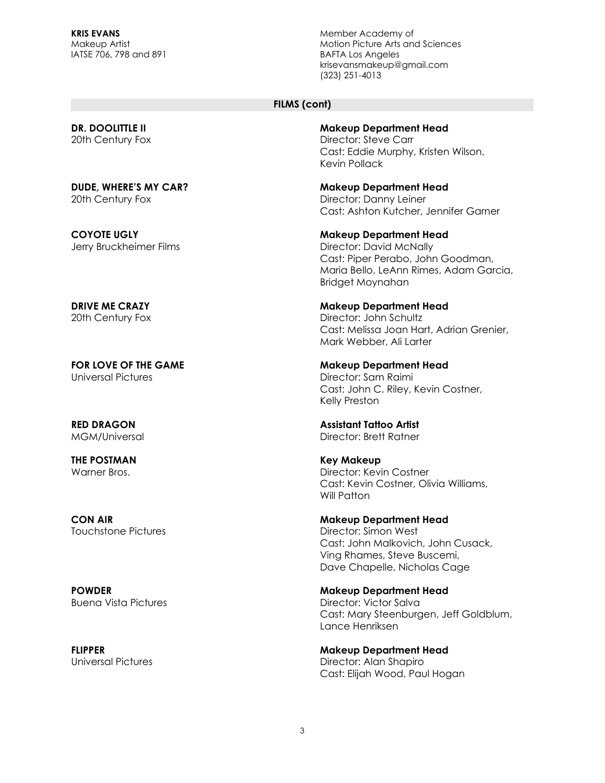**KRIS EVANS** Member Academy of IATSE 706, 798 and 891 BAFTA Los Angeles

Makeup Artist Motion Picture Arts and Sciences krisevansmakeup@gmail.com (323) 251-4013

#### **FILMS (cont)**

20th Century Fox Director: Steve Carr

**DUDE, WHERE'S MY CAR? Makeup Department Head** 20th Century Fox **Director: Danny Leiner** Director: Danny Leiner

Universal Pictures **Director: Sam Raimi** 

**THE POSTMAN Key Makeup**

**DR. DOOLITTLE II Makeup Department Head**

Cast: Eddie Murphy, Kristen Wilson, Kevin Pollack

Cast: Ashton Kutcher, Jennifer Garner

**COYOTE UGLY Makeup Department Head** Jerry Bruckheimer Films Director: David McNally Cast: Piper Perabo, John Goodman, Maria Bello, LeAnn Rimes, Adam Garcia, Bridget Moynahan

**DRIVE ME CRAZY Makeup Department Head** 20th Century Fox **Director: John Schultz** Cast: Melissa Joan Hart, Adrian Grenier, Mark Webber, Ali Larter

**FOR LOVE OF THE GAME Makeup Department Head** Cast: John C. Riley, Kevin Costner, Kelly Preston

**RED DRAGON Assistant Tattoo Artist** MGM/Universal Director: Brett Ratner

Warner Bros. **Director: Kevin Costner** Cast: Kevin Costner, Olivia Williams, Will Patton

**CON AIR Makeup Department Head** Touchstone Pictures Director: Simon West Cast: John Malkovich, John Cusack, Ving Rhames, Steve Buscemi, Dave Chapelle, Nicholas Cage

**POWDER Makeup Department Head** Buena Vista Pictures and Director: Victor Salva Cast: Mary Steenburgen, Jeff Goldblum, Lance Henriksen

**FLIPPER Makeup Department Head** Universal Pictures **Director: Alan Shapiro** Cast: Elijah Wood, Paul Hogan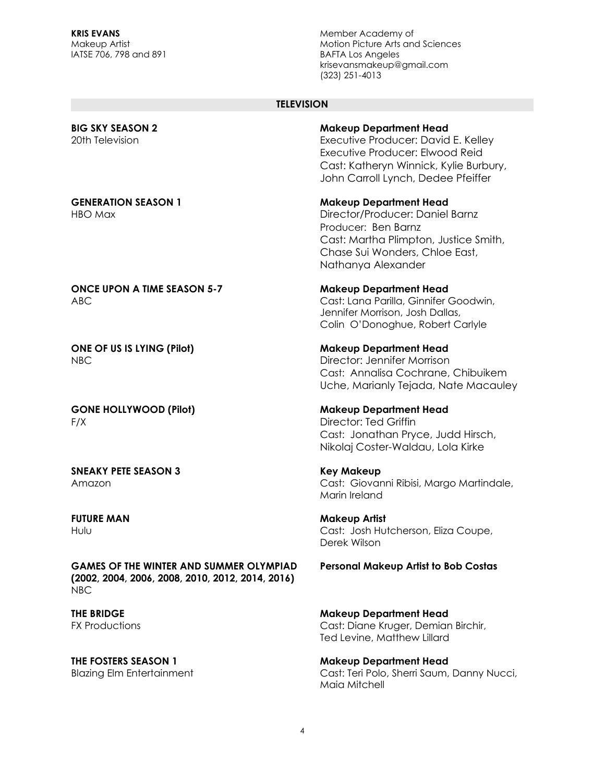**KRIS EVANS** Member Academy of Makeup Artist Motion Picture Arts and Sciences krisevansmakeup@gmail.com (323) 251-4013

#### **TELEVISION**

**BIG SKY SEASON 2 Makeup Department Head** 20th Television **Executive Producer: David E. Kelley** Executive Producer: Elwood Reid Cast: Katheryn Winnick, Kylie Burbury, John Carroll Lynch, Dedee Pfeiffer

**GENERATION SEASON 1 Makeup Department Head** HBO Max Director/Producer: Daniel Barnz Producer: Ben Barnz Cast: Martha Plimpton, Justice Smith, Chase Sui Wonders, Chloe East, Nathanya Alexander

ABC Cast: Lana Parilla, Ginnifer Goodwin, Jennifer Morrison, Josh Dallas, Colin O'Donoghue, Robert Carlyle

NBC Director: Jennifer Morrison Cast: Annalisa Cochrane, Chibuikem Uche, Marianly Tejada, Nate Macauley

## Cast: Jonathan Pryce, Judd Hirsch, Nikolaj Coster-Waldau, Lola Kirke

Amazon Cast: Giovanni Ribisi, Margo Martindale, Marin Ireland

**FUTURE MAN Makeup Artist** Hulu Cast: Josh Hutcherson, Eliza Coupe, Derek Wilson

**THE BRIDGE Makeup Department Head** FX Productions **Cast: Diane Kruger, Demian Birchir,** Ted Levine, Matthew Lillard

**THE FOSTERS SEASON 1 Makeup Department Head** Blazing Elm Entertainment Cast: Teri Polo, Sherri Saum, Danny Nucci, Maia Mitchell

**ONCE UPON A TIME SEASON 5-7 Makeup Department Head**

**ONE OF US IS LYING (Pilot) Makeup Department Head**

**GONE HOLLYWOOD (Pilot) Makeup Department Head** F/X Director: Ted Griffin

**SNEAKY PETE SEASON 3 Key Makeup**

**GAMES OF THE WINTER AND SUMMER OLYMPIAD Personal Makeup Artist to Bob Costas (2002, 2004, 2006, 2008, 2010, 2012, 2014, 2016)** NBC